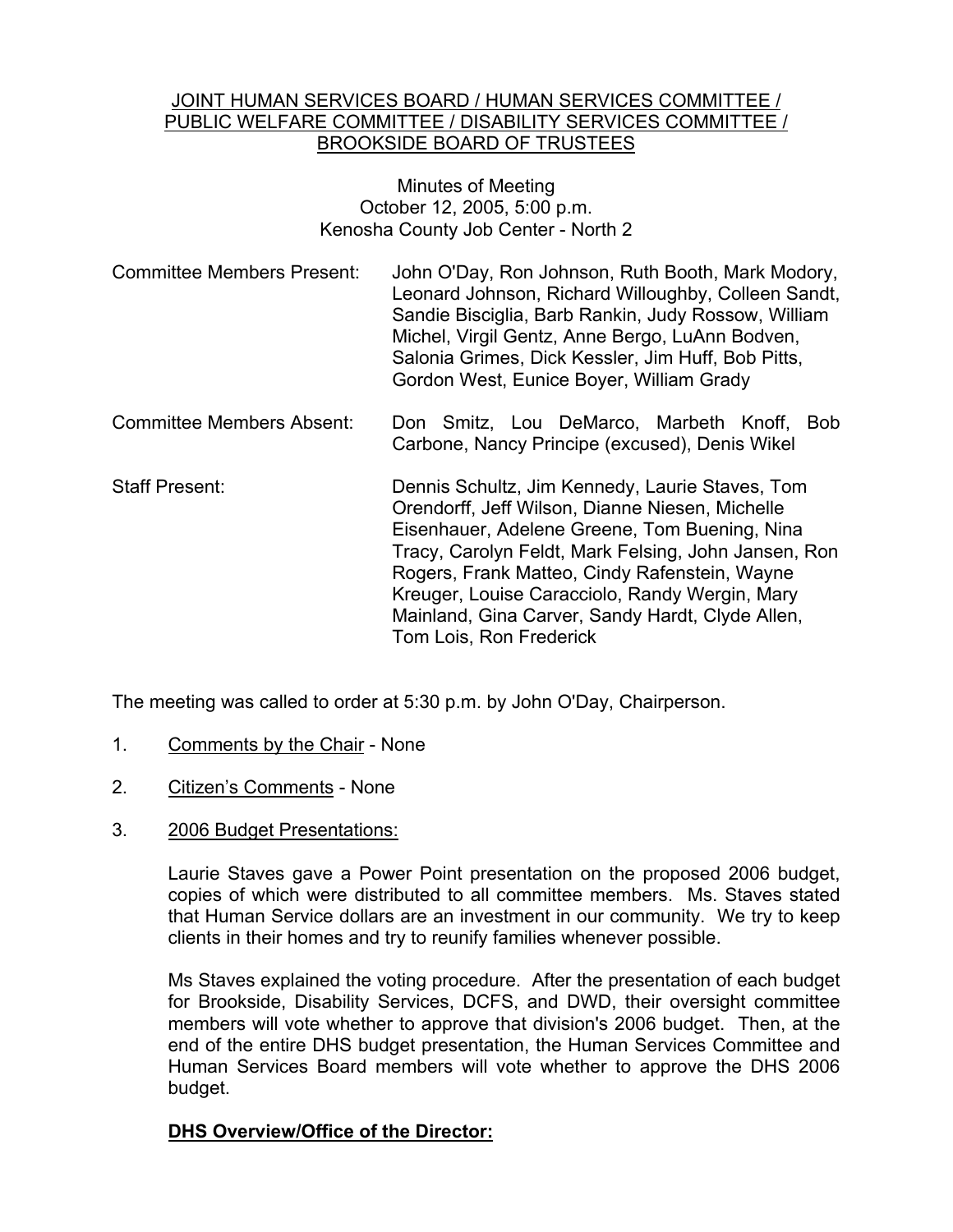#### JOINT HUMAN SERVICES BOARD / HUMAN SERVICES COMMITTEE / PUBLIC WELFARE COMMITTEE / DISABILITY SERVICES COMMITTEE / BROOKSIDE BOARD OF TRUSTEES

### Minutes of Meeting October 12, 2005, 5:00 p.m. Kenosha County Job Center - North 2

| <b>Committee Members Present:</b> | John O'Day, Ron Johnson, Ruth Booth, Mark Modory,   |
|-----------------------------------|-----------------------------------------------------|
|                                   | Leonard Johnson, Richard Willoughby, Colleen Sandt, |
|                                   | Sandie Bisciglia, Barb Rankin, Judy Rossow, William |
|                                   | Michel, Virgil Gentz, Anne Bergo, LuAnn Bodven,     |
|                                   | Salonia Grimes, Dick Kessler, Jim Huff, Bob Pitts,  |
|                                   | Gordon West, Eunice Boyer, William Grady            |

- Committee Members Absent: Don Smitz, Lou DeMarco, Marbeth Knoff, Bob Carbone, Nancy Principe (excused), Denis Wikel
- Staff Present: Dennis Schultz, Jim Kennedy, Laurie Staves, Tom Orendorff, Jeff Wilson, Dianne Niesen, Michelle Eisenhauer, Adelene Greene, Tom Buening, Nina Tracy, Carolyn Feldt, Mark Felsing, John Jansen, Ron Rogers, Frank Matteo, Cindy Rafenstein, Wayne Kreuger, Louise Caracciolo, Randy Wergin, Mary Mainland, Gina Carver, Sandy Hardt, Clyde Allen, Tom Lois, Ron Frederick

The meeting was called to order at 5:30 p.m. by John O'Day, Chairperson.

- 1. Comments by the Chair None
- 2. Citizen's Comments None
- 3. 2006 Budget Presentations:

Laurie Staves gave a Power Point presentation on the proposed 2006 budget, copies of which were distributed to all committee members. Ms. Staves stated that Human Service dollars are an investment in our community. We try to keep clients in their homes and try to reunify families whenever possible.

Ms Staves explained the voting procedure. After the presentation of each budget for Brookside, Disability Services, DCFS, and DWD, their oversight committee members will vote whether to approve that division's 2006 budget. Then, at the end of the entire DHS budget presentation, the Human Services Committee and Human Services Board members will vote whether to approve the DHS 2006 budget.

## **DHS Overview/Office of the Director:**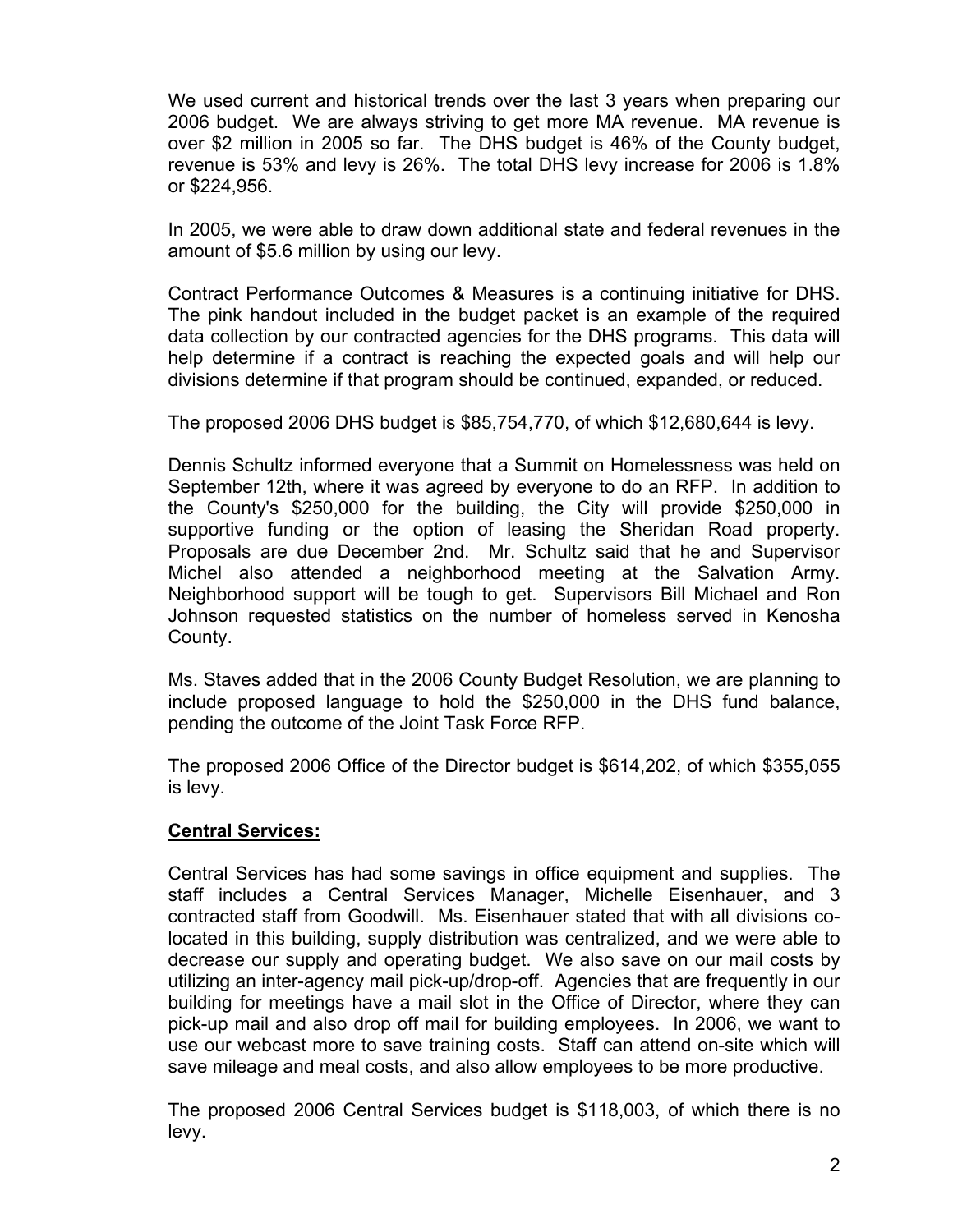We used current and historical trends over the last 3 years when preparing our 2006 budget. We are always striving to get more MA revenue. MA revenue is over \$2 million in 2005 so far. The DHS budget is 46% of the County budget, revenue is 53% and levy is 26%. The total DHS levy increase for 2006 is 1.8% or \$224,956.

In 2005, we were able to draw down additional state and federal revenues in the amount of \$5.6 million by using our levy.

Contract Performance Outcomes & Measures is a continuing initiative for DHS. The pink handout included in the budget packet is an example of the required data collection by our contracted agencies for the DHS programs. This data will help determine if a contract is reaching the expected goals and will help our divisions determine if that program should be continued, expanded, or reduced.

The proposed 2006 DHS budget is \$85,754,770, of which \$12,680,644 is levy.

Dennis Schultz informed everyone that a Summit on Homelessness was held on September 12th, where it was agreed by everyone to do an RFP. In addition to the County's \$250,000 for the building, the City will provide \$250,000 in supportive funding or the option of leasing the Sheridan Road property. Proposals are due December 2nd. Mr. Schultz said that he and Supervisor Michel also attended a neighborhood meeting at the Salvation Army. Neighborhood support will be tough to get. Supervisors Bill Michael and Ron Johnson requested statistics on the number of homeless served in Kenosha County.

Ms. Staves added that in the 2006 County Budget Resolution, we are planning to include proposed language to hold the \$250,000 in the DHS fund balance, pending the outcome of the Joint Task Force RFP.

The proposed 2006 Office of the Director budget is \$614,202, of which \$355,055 is levy.

## **Central Services:**

Central Services has had some savings in office equipment and supplies. The staff includes a Central Services Manager, Michelle Eisenhauer, and 3 contracted staff from Goodwill. Ms. Eisenhauer stated that with all divisions colocated in this building, supply distribution was centralized, and we were able to decrease our supply and operating budget. We also save on our mail costs by utilizing an inter-agency mail pick-up/drop-off. Agencies that are frequently in our building for meetings have a mail slot in the Office of Director, where they can pick-up mail and also drop off mail for building employees. In 2006, we want to use our webcast more to save training costs. Staff can attend on-site which will save mileage and meal costs, and also allow employees to be more productive.

The proposed 2006 Central Services budget is \$118,003, of which there is no levy.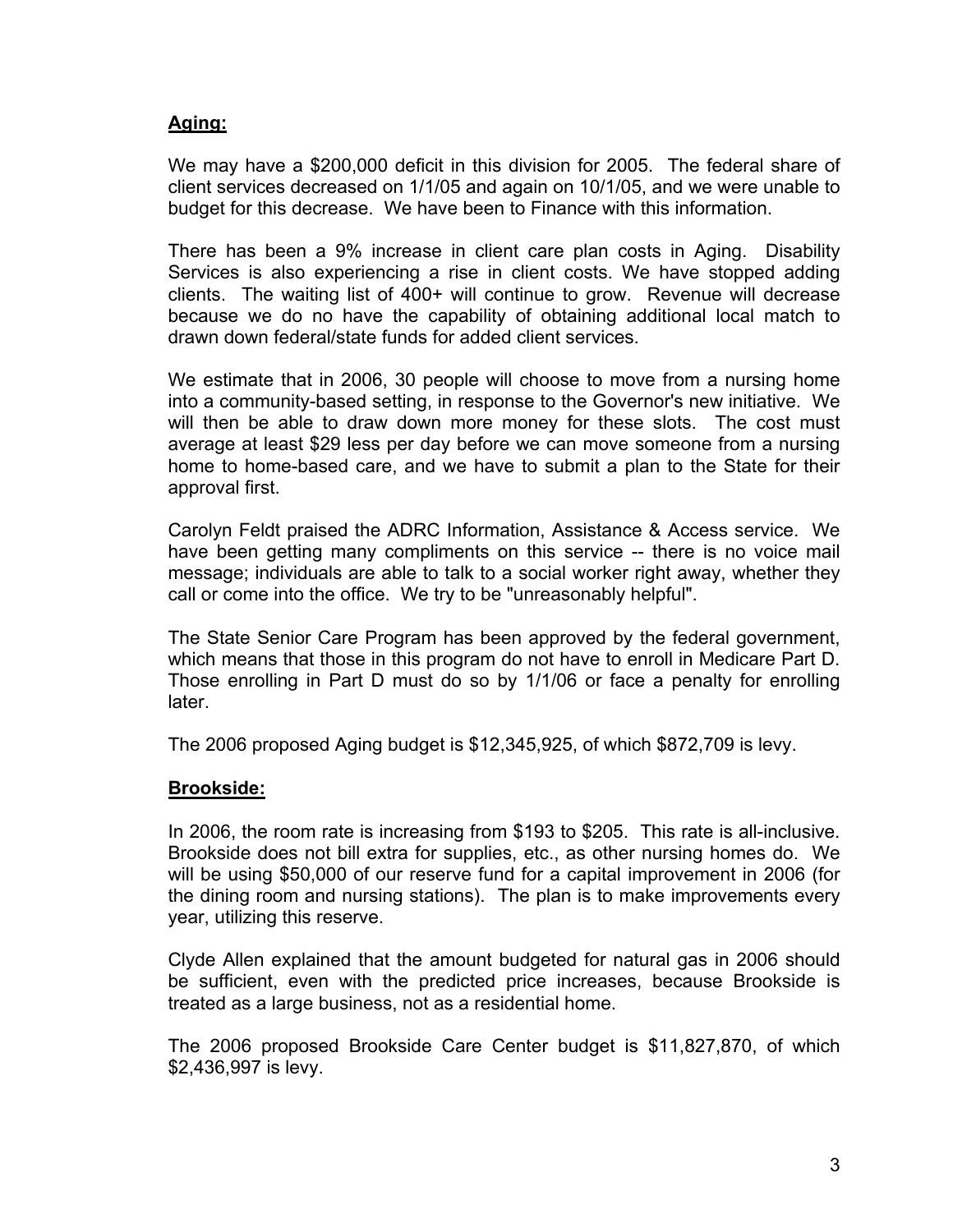## **Aging:**

We may have a \$200,000 deficit in this division for 2005. The federal share of client services decreased on 1/1/05 and again on 10/1/05, and we were unable to budget for this decrease. We have been to Finance with this information.

There has been a 9% increase in client care plan costs in Aging. Disability Services is also experiencing a rise in client costs. We have stopped adding clients. The waiting list of 400+ will continue to grow. Revenue will decrease because we do no have the capability of obtaining additional local match to drawn down federal/state funds for added client services.

We estimate that in 2006, 30 people will choose to move from a nursing home into a community-based setting, in response to the Governor's new initiative. We will then be able to draw down more money for these slots. The cost must average at least \$29 less per day before we can move someone from a nursing home to home-based care, and we have to submit a plan to the State for their approval first.

Carolyn Feldt praised the ADRC Information, Assistance & Access service. We have been getting many compliments on this service -- there is no voice mail message; individuals are able to talk to a social worker right away, whether they call or come into the office. We try to be "unreasonably helpful".

The State Senior Care Program has been approved by the federal government, which means that those in this program do not have to enroll in Medicare Part D. Those enrolling in Part D must do so by 1/1/06 or face a penalty for enrolling later.

The 2006 proposed Aging budget is \$12,345,925, of which \$872,709 is levy.

## **Brookside:**

In 2006, the room rate is increasing from \$193 to \$205. This rate is all-inclusive. Brookside does not bill extra for supplies, etc., as other nursing homes do. We will be using \$50,000 of our reserve fund for a capital improvement in 2006 (for the dining room and nursing stations). The plan is to make improvements every year, utilizing this reserve.

Clyde Allen explained that the amount budgeted for natural gas in 2006 should be sufficient, even with the predicted price increases, because Brookside is treated as a large business, not as a residential home.

The 2006 proposed Brookside Care Center budget is \$11,827,870, of which \$2,436,997 is levy.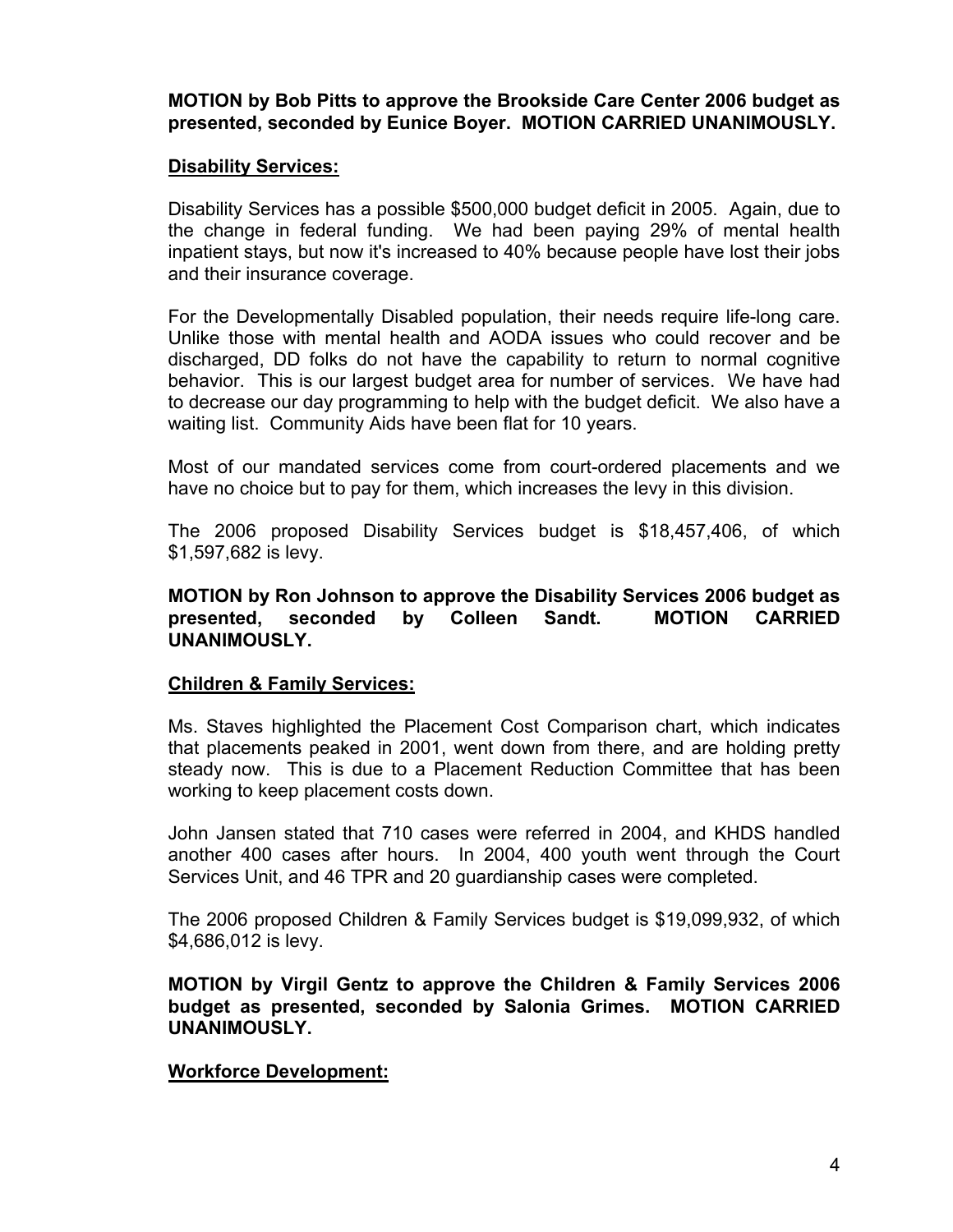**MOTION by Bob Pitts to approve the Brookside Care Center 2006 budget as presented, seconded by Eunice Boyer. MOTION CARRIED UNANIMOUSLY.**

## **Disability Services:**

Disability Services has a possible \$500,000 budget deficit in 2005. Again, due to the change in federal funding. We had been paying 29% of mental health inpatient stays, but now it's increased to 40% because people have lost their jobs and their insurance coverage.

For the Developmentally Disabled population, their needs require life-long care. Unlike those with mental health and AODA issues who could recover and be discharged, DD folks do not have the capability to return to normal cognitive behavior. This is our largest budget area for number of services. We have had to decrease our day programming to help with the budget deficit. We also have a waiting list. Community Aids have been flat for 10 years.

Most of our mandated services come from court-ordered placements and we have no choice but to pay for them, which increases the levy in this division.

The 2006 proposed Disability Services budget is \$18,457,406, of which \$1,597,682 is levy.

#### **MOTION by Ron Johnson to approve the Disability Services 2006 budget as presented, seconded by Colleen Sandt. MOTION CARRIED UNANIMOUSLY.**

#### **Children & Family Services:**

Ms. Staves highlighted the Placement Cost Comparison chart, which indicates that placements peaked in 2001, went down from there, and are holding pretty steady now. This is due to a Placement Reduction Committee that has been working to keep placement costs down.

John Jansen stated that 710 cases were referred in 2004, and KHDS handled another 400 cases after hours. In 2004, 400 youth went through the Court Services Unit, and 46 TPR and 20 guardianship cases were completed.

The 2006 proposed Children & Family Services budget is \$19,099,932, of which \$4,686,012 is levy.

**MOTION by Virgil Gentz to approve the Children & Family Services 2006 budget as presented, seconded by Salonia Grimes. MOTION CARRIED UNANIMOUSLY.**

#### **Workforce Development:**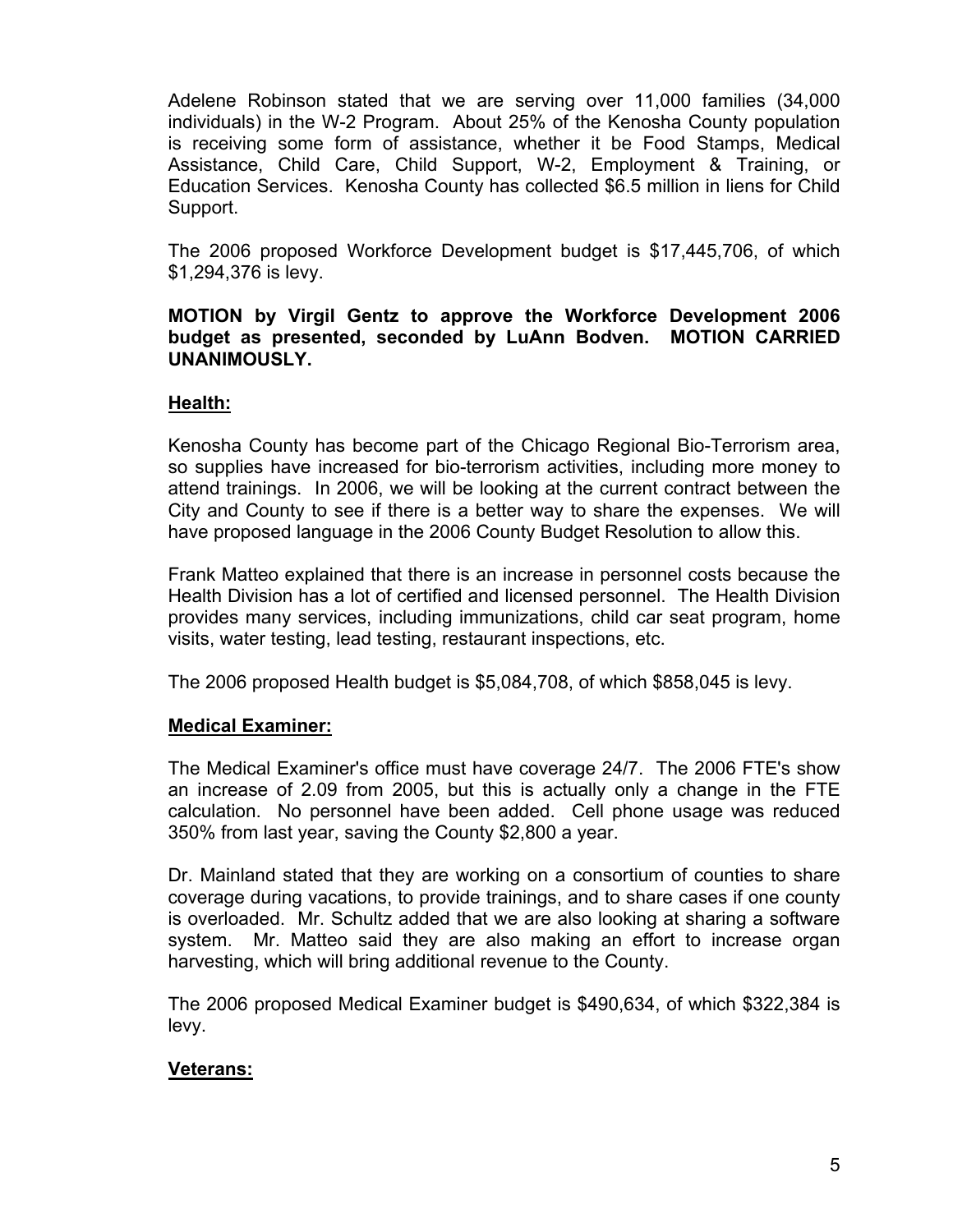Adelene Robinson stated that we are serving over 11,000 families (34,000 individuals) in the W-2 Program. About 25% of the Kenosha County population is receiving some form of assistance, whether it be Food Stamps, Medical Assistance, Child Care, Child Support, W-2, Employment & Training, or Education Services. Kenosha County has collected \$6.5 million in liens for Child Support.

The 2006 proposed Workforce Development budget is \$17,445,706, of which \$1,294,376 is levy.

## **MOTION by Virgil Gentz to approve the Workforce Development 2006 budget as presented, seconded by LuAnn Bodven. MOTION CARRIED UNANIMOUSLY.**

## **Health:**

Kenosha County has become part of the Chicago Regional Bio-Terrorism area, so supplies have increased for bio-terrorism activities, including more money to attend trainings. In 2006, we will be looking at the current contract between the City and County to see if there is a better way to share the expenses. We will have proposed language in the 2006 County Budget Resolution to allow this.

Frank Matteo explained that there is an increase in personnel costs because the Health Division has a lot of certified and licensed personnel. The Health Division provides many services, including immunizations, child car seat program, home visits, water testing, lead testing, restaurant inspections, etc.

The 2006 proposed Health budget is \$5,084,708, of which \$858,045 is levy.

## **Medical Examiner:**

The Medical Examiner's office must have coverage 24/7. The 2006 FTE's show an increase of 2.09 from 2005, but this is actually only a change in the FTE calculation. No personnel have been added. Cell phone usage was reduced 350% from last year, saving the County \$2,800 a year.

Dr. Mainland stated that they are working on a consortium of counties to share coverage during vacations, to provide trainings, and to share cases if one county is overloaded. Mr. Schultz added that we are also looking at sharing a software system. Mr. Matteo said they are also making an effort to increase organ harvesting, which will bring additional revenue to the County.

The 2006 proposed Medical Examiner budget is \$490,634, of which \$322,384 is levy.

# **Veterans:**